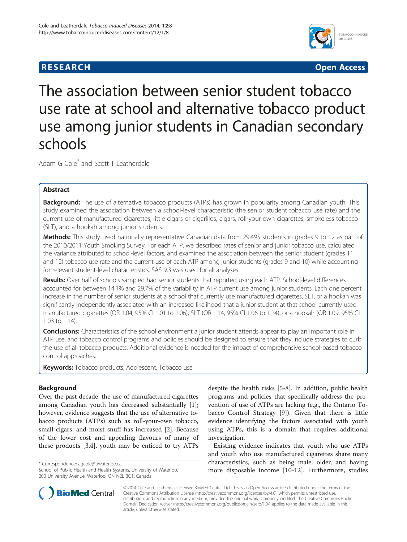# **RESEARCH CHINESE ARCH CHINESE ARCH CHINESE ARCH <b>CHINESE ARCH**



The association between senior student tobacco use rate at school and alternative tobacco product use among junior students in Canadian secondary schools

Adam G Cole<sup>\*</sup> and Scott T Leatherdale

# Abstract

Background: The use of alternative tobacco products (ATPs) has grown in popularity among Canadian youth. This study examined the association between a school-level characteristic (the senior student tobacco use rate) and the current use of manufactured cigarettes, little cigars or cigarillos, cigars, roll-your-own cigarettes, smokeless tobacco (SLT), and a hookah among junior students.

Methods: This study used nationally representative Canadian data from 29,495 students in grades 9 to 12 as part of the 2010/2011 Youth Smoking Survey. For each ATP, we described rates of senior and junior tobacco use, calculated the variance attributed to school-level factors, and examined the association between the senior student (grades 11 and 12) tobacco use rate and the current use of each ATP among junior students (grades 9 and 10) while accounting for relevant student-level characteristics. SAS 9.3 was used for all analyses.

Results: Over half of schools sampled had senior students that reported using each ATP. School-level differences accounted for between 14.1% and 29.7% of the variability in ATP current use among junior students. Each one percent increase in the number of senior students at a school that currently use manufactured cigarettes, SLT, or a hookah was significantly independently associated with an increased likelihood that a junior student at that school currently used manufactured cigarettes (OR 1.04, 95% CI 1.01 to 1.06), SLT (OR 1.14, 95% CI 1.06 to 1.24), or a hookah (OR 1.09, 95% CI 1.03 to 1.14).

**Conclusions:** Characteristics of the school environment a junior student attends appear to play an important role in ATP use, and tobacco control programs and policies should be designed to ensure that they include strategies to curb the use of all tobacco products. Additional evidence is needed for the impact of comprehensive school-based tobacco control approaches.

Keywords: Tobacco products, Adolescent, Tobacco use

# Background

Over the past decade, the use of manufactured cigarettes among Canadian youth has decreased substantially [\[1](#page-8-0)]; however, evidence suggests that the use of alternative tobacco products (ATPs) such as roll-your-own tobacco, small cigars, and moist snuff has increased [[2\]](#page-8-0). Because of the lower cost and appealing flavours of many of these products [[3,4\]](#page-8-0), youth may be enticed to try ATPs

\* Correspondence: [agcole@uwaterloo.ca](mailto:agcole@uwaterloo.ca)



Existing evidence indicates that youth who use ATPs and youth who use manufactured cigarettes share many characteristics, such as being male, older, and having more disposable income [\[10-12](#page-8-0)]. Furthermore, studies



© 2014 Cole and Leatherdale; licensee BioMed Central Ltd. This is an Open Access article distributed under the terms of the Creative Commons Attribution License (<http://creativecommons.org/licenses/by/4.0>), which permits unrestricted use, distribution, and reproduction in any medium, provided the original work is properly credited. The Creative Commons Public Domain Dedication waiver [\(http://creativecommons.org/publicdomain/zero/1.0/\)](http://creativecommons.org/publicdomain/zero/1.0/) applies to the data made available in this article, unless otherwise stated.

School of Public Health and Health Systems, University of Waterloo, 200 University Avenue, Waterloo, ON N2L 3G1, Canada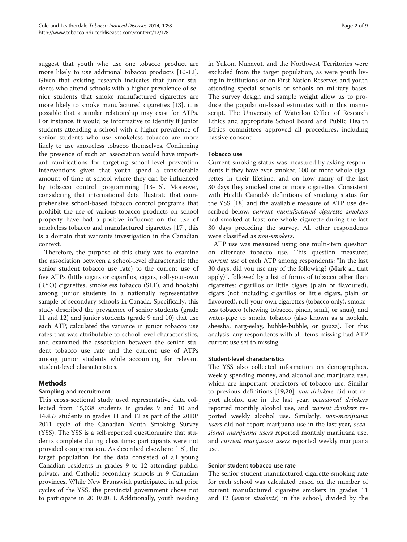suggest that youth who use one tobacco product are more likely to use additional tobacco products [\[10-12](#page-8-0)]. Given that existing research indicates that junior students who attend schools with a higher prevalence of senior students that smoke manufactured cigarettes are more likely to smoke manufactured cigarettes [[13](#page-8-0)], it is possible that a similar relationship may exist for ATPs. For instance, it would be informative to identify if junior students attending a school with a higher prevalence of senior students who use smokeless tobacco are more likely to use smokeless tobacco themselves. Confirming the presence of such an association would have important ramifications for targeting school-level prevention interventions given that youth spend a considerable amount of time at school where they can be influenced by tobacco control programming [[13-16\]](#page-8-0). Moreover, considering that international data illustrate that comprehensive school-based tobacco control programs that prohibit the use of various tobacco products on school property have had a positive influence on the use of smokeless tobacco and manufactured cigarettes [[17](#page-8-0)], this is a domain that warrants investigation in the Canadian context.

Therefore, the purpose of this study was to examine the association between a school-level characteristic (the senior student tobacco use rate) to the current use of five ATPs (little cigars or cigarillos, cigars, roll-your-own (RYO) cigarettes, smokeless tobacco (SLT), and hookah) among junior students in a nationally representative sample of secondary schools in Canada. Specifically, this study described the prevalence of senior students (grade 11 and 12) and junior students (grade 9 and 10) that use each ATP, calculated the variance in junior tobacco use rates that was attributable to school-level characteristics, and examined the association between the senior student tobacco use rate and the current use of ATPs among junior students while accounting for relevant student-level characteristics.

# Methods

# Sampling and recruitment

This cross-sectional study used representative data collected from 15,038 students in grades 9 and 10 and 14,457 students in grades 11 and 12 as part of the 2010/ 2011 cycle of the Canadian Youth Smoking Survey (YSS). The YSS is a self-reported questionnaire that students complete during class time; participants were not provided compensation. As described elsewhere [\[18](#page-8-0)], the target population for the data consisted of all young Canadian residents in grades 9 to 12 attending public, private, and Catholic secondary schools in 9 Canadian provinces. While New Brunswick participated in all prior cycles of the YSS, the provincial government chose not to participate in 2010/2011. Additionally, youth residing in Yukon, Nunavut, and the Northwest Territories were excluded from the target population, as were youth living in institutions or on First Nation Reserves and youth attending special schools or schools on military bases. The survey design and sample weight allow us to produce the population-based estimates within this manuscript. The University of Waterloo Office of Research Ethics and appropriate School Board and Public Health Ethics committees approved all procedures, including passive consent.

## Tobacco use

Current smoking status was measured by asking respondents if they have ever smoked 100 or more whole cigarettes in their lifetime, and on how many of the last 30 days they smoked one or more cigarettes. Consistent with Health Canada's definitions of smoking status for the YSS [\[18](#page-8-0)] and the available measure of ATP use described below, current manufactured cigarette smokers had smoked at least one whole cigarette during the last 30 days preceding the survey. All other respondents were classified as non-smokers.

ATP use was measured using one multi-item question on alternate tobacco use. This question measured current use of each ATP among respondents: "In the last 30 days, did you use any of the following? (Mark all that apply)", followed by a list of forms of tobacco other than cigarettes: cigarillos or little cigars (plain or flavoured), cigars (not including cigarillos or little cigars, plain or flavoured), roll-your-own cigarettes (tobacco only), smokeless tobacco (chewing tobacco, pinch, snuff, or snus), and water-pipe to smoke tobacco (also known as a hookah, sheesha, narg-eelay, hubble-bubble, or gouza). For this analysis, any respondents with all items missing had ATP current use set to missing.

## Student-level characteristics

The YSS also collected information on demographics, weekly spending money, and alcohol and marijuana use, which are important predictors of tobacco use. Similar to previous definitions [[19,20\]](#page-8-0), non-drinkers did not report alcohol use in the last year, occasional drinkers reported monthly alcohol use, and *current drinkers* reported weekly alcohol use. Similarly, *non-marijuana* users did not report marijuana use in the last year, occasional marijuana users reported monthly marijuana use, and current marijuana users reported weekly marijuana use.

## Senior student tobacco use rate

The senior student manufactured cigarette smoking rate for each school was calculated based on the number of current manufactured cigarette smokers in grades 11 and 12 (senior students) in the school, divided by the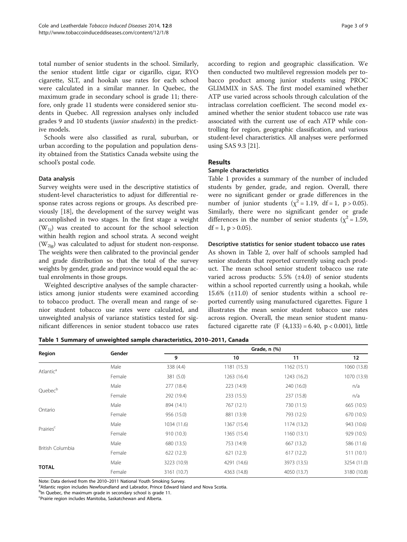total number of senior students in the school. Similarly, the senior student little cigar or cigarillo, cigar, RYO cigarette, SLT, and hookah use rates for each school were calculated in a similar manner. In Quebec, the maximum grade in secondary school is grade 11; therefore, only grade 11 students were considered senior students in Quebec. All regression analyses only included grades 9 and 10 students (junior students) in the predictive models.

Schools were also classified as rural, suburban, or urban according to the population and population density obtained from the Statistics Canada website using the school's postal code.

## Data analysis

Survey weights were used in the descriptive statistics of student-level characteristics to adjust for differential response rates across regions or groups. As described previously [\[18\]](#page-8-0), the development of the survey weight was accomplished in two stages. In the first stage a weight  $(W_{1i})$  was created to account for the school selection within health region and school strata. A second weight  $(W_{2ig})$  was calculated to adjust for student non-response. The weights were then calibrated to the provincial gender and grade distribution so that the total of the survey weights by gender, grade and province would equal the actual enrolments in those groups.

Weighted descriptive analyses of the sample characteristics among junior students were examined according to tobacco product. The overall mean and range of senior student tobacco use rates were calculated, and unweighted analysis of variance statistics tested for significant differences in senior student tobacco use rates according to region and geographic classification. We then conducted two multilevel regression models per tobacco product among junior students using PROC GLIMMIX in SAS. The first model examined whether ATP use varied across schools through calculation of the intraclass correlation coefficient. The second model examined whether the senior student tobacco use rate was associated with the current use of each ATP while controlling for region, geographic classification, and various student-level characteristics. All analyses were performed using SAS 9.3 [[21](#page-8-0)].

## Results

## Sample characteristics

Table 1 provides a summary of the number of included students by gender, grade, and region. Overall, there were no significant gender or grade differences in the number of junior students ( $\chi^2 = 1.19$ , df = 1, p > 0.05). Similarly, there were no significant gender or grade differences in the number of senior students ( $\chi^2$  = 1.59,  $df = 1$ ,  $p > 0.05$ ).

#### Descriptive statistics for senior student tobacco use rates

As shown in Table [2,](#page-3-0) over half of schools sampled had senior students that reported currently using each product. The mean school senior student tobacco use rate varied across products: 5.5% (±4.0) of senior students within a school reported currently using a hookah, while 15.6% (±11.0) of senior students within a school reported currently using manufactured cigarettes. Figure [1](#page-3-0) illustrates the mean senior student tobacco use rates across region. Overall, the mean senior student manufactured cigarette rate (F  $(4,133) = 6.40$ , p < 0.001), little

Table 1 Summary of unweighted sample characteristics, 2010–2011, Canada

|                       | Gender | Grade, n (%) |                                                                                                                                                                                                                                                                                                                          |             |             |  |
|-----------------------|--------|--------------|--------------------------------------------------------------------------------------------------------------------------------------------------------------------------------------------------------------------------------------------------------------------------------------------------------------------------|-------------|-------------|--|
| Region                |        | 9            | 10                                                                                                                                                                                                                                                                                                                       | 11          | 12          |  |
| Atlantic <sup>a</sup> | Male   | 338 (4.4)    | 1181 (15.3)                                                                                                                                                                                                                                                                                                              | 1162(15.1)  | 1060 (13.8) |  |
|                       | Female | 381 (5.0)    | 1263 (16.4)<br>1243 (16.2)<br>240 (16.0)<br>223 (14.9)<br>237 (15.8)<br>233 (15.5)<br>730 (11.5)<br>767 (12.1)<br>881 (13.9)<br>793 (12.5)<br>1174 (13.2)<br>1367 (15.4)<br>1365 (15.4)<br>1160(13.1)<br>753 (14.9)<br>667 (13.2)<br>621 (12.3)<br>617(12.2)<br>4291 (14.6)<br>3973 (13.5)<br>4363 (14.8)<br>4050 (13.7) | 1070 (13.9) |             |  |
| Quebec <sup>b</sup>   | Male   | 277 (18.4)   |                                                                                                                                                                                                                                                                                                                          |             | n/a         |  |
|                       | Female | 292 (19.4)   |                                                                                                                                                                                                                                                                                                                          |             | n/a         |  |
|                       | Male   | 894 (14.1)   |                                                                                                                                                                                                                                                                                                                          |             | 665 (10.5)  |  |
| Ontario               | Female | 956 (15.0)   |                                                                                                                                                                                                                                                                                                                          |             | 670 (10.5)  |  |
| Prairies <sup>c</sup> | Male   | 1034 (11.6)  |                                                                                                                                                                                                                                                                                                                          |             | 943 (10.6)  |  |
|                       | Female | 910 (10.3)   |                                                                                                                                                                                                                                                                                                                          |             | 929 (10.5)  |  |
|                       | Male   | 680 (13.5)   |                                                                                                                                                                                                                                                                                                                          |             | 586 (11.6)  |  |
| British Columbia      | Female | 622(12.3)    |                                                                                                                                                                                                                                                                                                                          |             | 511(10.1)   |  |
|                       | Male   | 3223 (10.9)  |                                                                                                                                                                                                                                                                                                                          |             | 3254 (11.0) |  |
| <b>TOTAL</b>          | Female | 3161 (10.7)  |                                                                                                                                                                                                                                                                                                                          |             | 3180 (10.8) |  |

Note: Data derived from the 2010-2011 National Youth Smoking Survey.

<sup>a</sup>Atlantic region includes Newfoundland and Labrador, Prince Edward Island and Nova Scotia.

<sup>b</sup>In Quebec, the maximum grade in secondary school is grade 11.

c Prairie region includes Manitoba, Saskatchewan and Alberta.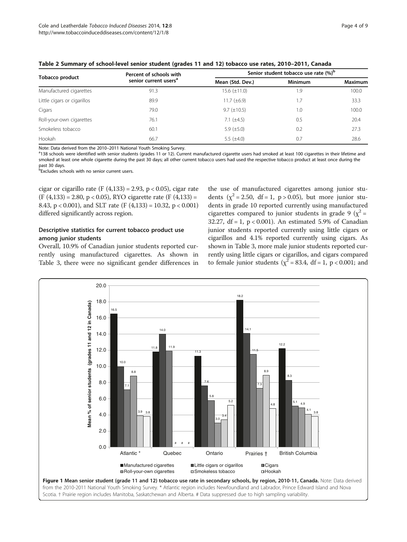|                             | Percent of schools with           | Senior student tobacco use rate (%) <sup>b</sup> |                |                |  |
|-----------------------------|-----------------------------------|--------------------------------------------------|----------------|----------------|--|
| <b>Tobacco product</b>      | senior current users <sup>a</sup> | Mean (Std. Dev.)                                 | <b>Minimum</b> | <b>Maximum</b> |  |
| Manufactured cigarettes     | 91.3                              | $15.6 (\pm 11.0)$                                | 1.9            | 100.0          |  |
| Little cigars or cigarillos | 89.9                              | 11.7 $(\pm 6.9)$                                 | 1.7            | 33.3           |  |
| Cigars                      | 79.0                              | $9.7 (\pm 10.5)$                                 | 1.0            | 100.0          |  |
| Roll-your-own cigarettes    | 76.1                              | 7.1 $(\pm 4.5)$                                  | 0.5            | 20.4           |  |
| Smokeless tobacco           | 60.1                              | 5.9 $(\pm 5.0)$                                  | 0.2            | 27.3           |  |
| Hookah                      | 66.7                              | 5.5 $(\pm 4.0)$                                  | 0.7            | 28.6           |  |

<span id="page-3-0"></span>Table 2 Summary of school-level senior student (grades 11 and 12) tobacco use rates, 2010–2011, Canada

Note: Data derived from the 2010-2011 National Youth Smoking Survey.

<sup>a</sup>138 schools were identified with senior students (grades 11 or 12). Current manufactured cigarette users had smoked at least 100 cigarettes in their lifetime and smoked at least one whole cigarette during the past 30 days; all other current tobacco users had used the respective tobacco product at least once during the past 30 days.

b Excludes schools with no senior current users.

cigar or cigarillo rate (F  $(4,133) = 2.93$ , p < 0.05), cigar rate  $(F (4,133) = 2.80, p < 0.05)$ , RYO cigarette rate  $(F (4,133) =$ 8.43,  $p < 0.001$ ), and SLT rate (F (4,133) = 10.32,  $p < 0.001$ ) differed significantly across region.

# Descriptive statistics for current tobacco product use among junior students

Overall, 10.9% of Canadian junior students reported currently using manufactured cigarettes. As shown in Table [3,](#page-4-0) there were no significant gender differences in

the use of manufactured cigarettes among junior students ( $\chi^2$  = 2.50, df = 1, p > 0.05), but more junior students in grade 10 reported currently using manufactured cigarettes compared to junior students in grade 9 ( $\chi^2$  = 32.27,  $df = 1$ ,  $p < 0.001$ ). An estimated 5.9% of Canadian junior students reported currently using little cigars or cigarillos and 4.1% reported currently using cigars. As shown in Table [3,](#page-4-0) more male junior students reported currently using little cigars or cigarillos, and cigars compared to female junior students ( $\chi^2$  = 83.4, df = 1, p < 0.001; and

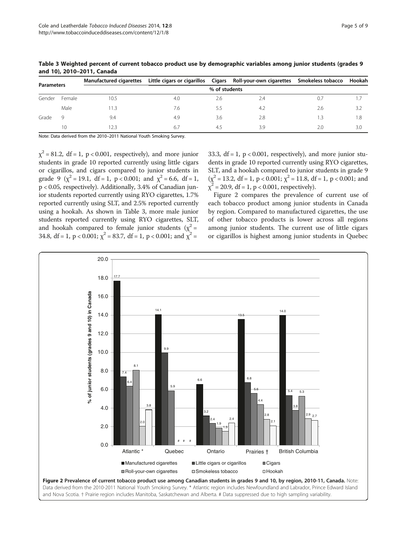| <b>Parameters</b> |        | Manufactured cigarettes |     |     | Little cigars or cigarillos Cigars Roll-your-own cigarettes Smokeless tobacco Hookah |     |     |  |
|-------------------|--------|-------------------------|-----|-----|--------------------------------------------------------------------------------------|-----|-----|--|
|                   |        | % of students           |     |     |                                                                                      |     |     |  |
| Gender            | Female | 10.5                    | 4.0 | 2.6 | 2.4                                                                                  | 0.7 |     |  |
|                   | Male   |                         | 7.6 | 5.5 | 4.2                                                                                  | 2.6 | 3.2 |  |
| Grade             | Q.     | 9.4                     | 4.9 | 3.6 | 2.8                                                                                  | .3  |     |  |
|                   | 10     | 2.3                     | 6.7 | 45  | 3.9                                                                                  | 2.0 | 3.0 |  |

<span id="page-4-0"></span>Table 3 Weighted percent of current tobacco product use by demographic variables among junior students (grades 9 and 10), 2010–2011, Canada

Note: Data derived from the 2010–2011 National Youth Smoking Survey.

 $\chi^2$  = 81.2, df = 1, p < 0.001, respectively), and more junior students in grade 10 reported currently using little cigars or cigarillos, and cigars compared to junior students in grade 9 ( $\chi^2$  = 19.1, df = 1, p < 0.001; and  $\chi^2$  = 6.6, df = 1, p < 0.05, respectively). Additionally, 3.4% of Canadian junior students reported currently using RYO cigarettes, 1.7% reported currently using SLT, and 2.5% reported currently using a hookah. As shown in Table 3, more male junior students reported currently using RYO cigarettes, SLT, and hookah compared to female junior students ( $\chi^2$  = 34.8, df = 1, p < 0.001;  $\chi^2$  = 83.7, df = 1, p < 0.001; and  $\chi^2$  =

33.3,  $df = 1$ ,  $p < 0.001$ , respectively), and more junior students in grade 10 reported currently using RYO cigarettes, SLT, and a hookah compared to junior students in grade 9  $(\chi^2 = 13.2, df = 1, p < 0.001; \chi^2 = 11.8, df = 1, p < 0.001; and$  $\chi^2$  = 20.9, df = 1, p < 0.001, respectively).

Figure 2 compares the prevalence of current use of each tobacco product among junior students in Canada by region. Compared to manufactured cigarettes, the use of other tobacco products is lower across all regions among junior students. The current use of little cigars or cigarillos is highest among junior students in Quebec

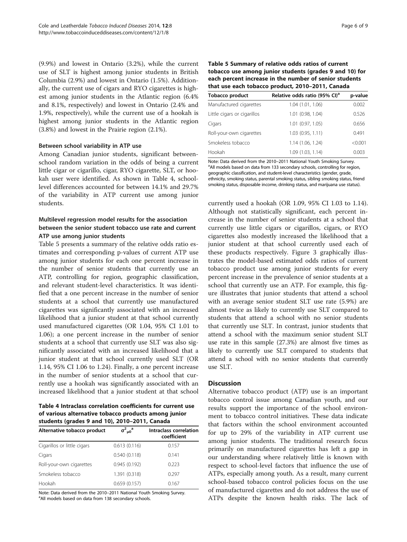(9.9%) and lowest in Ontario (3.2%), while the current use of SLT is highest among junior students in British Columbia (2.9%) and lowest in Ontario (1.5%). Additionally, the current use of cigars and RYO cigarettes is highest among junior students in the Atlantic region (6.4% and 8.1%, respectively) and lowest in Ontario (2.4% and 1.9%, respectively), while the current use of a hookah is highest among junior students in the Atlantic region (3.8%) and lowest in the Prairie region (2.1%).

#### Between school variability in ATP use

Among Canadian junior students, significant betweenschool random variation in the odds of being a current little cigar or cigarillo, cigar, RYO cigarette, SLT, or hookah user were identified. As shown in Table 4, schoollevel differences accounted for between 14.1% and 29.7% of the variability in ATP current use among junior students.

# Multilevel regression model results for the association between the senior student tobacco use rate and current ATP use among junior students

Table 5 presents a summary of the relative odds ratio estimates and corresponding p-values of current ATP use among junior students for each one percent increase in the number of senior students that currently use an ATP, controlling for region, geographic classification, and relevant student-level characteristics. It was identified that a one percent increase in the number of senior students at a school that currently use manufactured cigarettes was significantly associated with an increased likelihood that a junior student at that school currently used manufactured cigarettes (OR 1.04, 95% CI 1.01 to 1.06); a one percent increase in the number of senior students at a school that currently use SLT was also significantly associated with an increased likelihood that a junior student at that school currently used SLT (OR 1.14, 95% CI 1.06 to 1.24). Finally, a one percent increase in the number of senior students at a school that currently use a hookah was significantly associated with an increased likelihood that a junior student at that school

Table 4 Intraclass correlation coefficients for current use of various alternative tobacco products among junior students (grades 9 and 10), 2010–2011, Canada

| Alternative tobacco product | $\sigma^2_{\mu 0}$ <sup>a</sup> | Intraclass correlation<br>coefficient |
|-----------------------------|---------------------------------|---------------------------------------|
| Cigarillos or little cigars | 0.613(0.116)                    | 0.157                                 |
| Cigars                      | 0.540(0.118)                    | 0.141                                 |
| Roll-your-own cigarettes    | 0.945(0.192)                    | 0.223                                 |
| Smokeless tobacco           | 1.391 (0.318)                   | 0.297                                 |
| Hookah                      | 0.659(0.157)                    | 0.167                                 |

Note: Data derived from the 2010-2011 National Youth Smoking Survey. <sup>a</sup> All models based on data from 138 secondary schools.

| Table 5 Summary of relative odds ratios of current      |
|---------------------------------------------------------|
| tobacco use among junior students (grades 9 and 10) for |
| each percent increase in the number of senior students  |
| that use each tobacco product, 2010-2011, Canada        |

| <b>Tobacco product</b>      | Relative odds ratio (95% CI) <sup>a</sup> | p-value |
|-----------------------------|-------------------------------------------|---------|
| Manufactured cigarettes     | 1.04 (1.01, 1.06)                         | 0.002   |
| Little cigars or cigarillos | 1.01 (0.98, 1.04)                         | 0.526   |
| Cigars                      | 1.01 (0.97, 1.05)                         | 0.656   |
| Roll-your-own cigarettes    | 1.03(0.95, 1.11)                          | 0.491   |
| Smokeless tobacco           | 1.14 (1.06, 1.24)                         | < 0.001 |
| Hookah                      | 1.09 (1.03, 1.14)                         | 0.003   |

Note: Data derived from the 2010-2011 National Youth Smoking Survey. <sup>a</sup> All models based on data from 133 secondary schools, controlling for region, geographic classification, and student-level characteristics (gender, grade, ethnicity, smoking status, parental smoking status, sibling smoking status, friend smoking status, disposable income, drinking status, and marijuana use status).

currently used a hookah (OR 1.09, 95% CI 1.03 to 1.14). Although not statistically significant, each percent increase in the number of senior students at a school that currently use little cigars or cigarillos, cigars, or RYO cigarettes also modestly increased the likelihood that a junior student at that school currently used each of these products respectively. Figure [3](#page-6-0) graphically illustrates the model-based estimated odds ratios of current tobacco product use among junior students for every percent increase in the prevalence of senior students at a school that currently use an ATP. For example, this figure illustrates that junior students that attend a school with an average senior student SLT use rate (5.9%) are almost twice as likely to currently use SLT compared to students that attend a school with no senior students that currently use SLT. In contrast, junior students that attend a school with the maximum senior student SLT use rate in this sample (27.3%) are almost five times as likely to currently use SLT compared to students that attend a school with no senior students that currently use SLT.

# **Discussion**

Alternative tobacco product (ATP) use is an important tobacco control issue among Canadian youth, and our results support the importance of the school environment to tobacco control initiatives. These data indicate that factors within the school environment accounted for up to 29% of the variability in ATP current use among junior students. The traditional research focus primarily on manufactured cigarettes has left a gap in our understanding where relatively little is known with respect to school-level factors that influence the use of ATPs, especially among youth. As a result, many current school-based tobacco control policies focus on the use of manufactured cigarettes and do not address the use of ATPs despite the known health risks. The lack of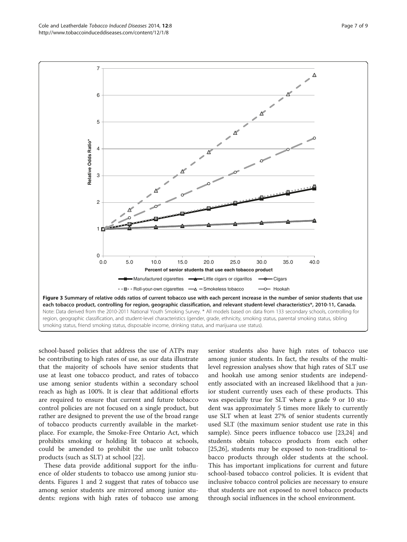<span id="page-6-0"></span>Cole and Leatherdale Tobacco Induced Diseases 2014, 12:8 http://www.tobaccoinduceddiseases.com/content/12/1/8



school-based policies that address the use of ATPs may be contributing to high rates of use, as our data illustrate that the majority of schools have senior students that use at least one tobacco product, and rates of tobacco use among senior students within a secondary school reach as high as 100%. It is clear that additional efforts are required to ensure that current and future tobacco control policies are not focused on a single product, but rather are designed to prevent the use of the broad range of tobacco products currently available in the marketplace. For example, the Smoke-Free Ontario Act, which prohibits smoking or holding lit tobacco at schools, could be amended to prohibit the use unlit tobacco products (such as SLT) at school [\[22](#page-8-0)].

These data provide additional support for the influence of older students to tobacco use among junior students. Figures [1](#page-3-0) and [2](#page-4-0) suggest that rates of tobacco use among senior students are mirrored among junior students: regions with high rates of tobacco use among senior students also have high rates of tobacco use among junior students. In fact, the results of the multilevel regression analyses show that high rates of SLT use and hookah use among senior students are independently associated with an increased likelihood that a junior student currently uses each of these products. This was especially true for SLT where a grade 9 or 10 student was approximately 5 times more likely to currently use SLT when at least 27% of senior students currently used SLT (the maximum senior student use rate in this sample). Since peers influence tobacco use [\[23,24\]](#page-8-0) and students obtain tobacco products from each other [[25,26\]](#page-8-0), students may be exposed to non-traditional tobacco products through older students at the school. This has important implications for current and future school-based tobacco control policies. It is evident that inclusive tobacco control policies are necessary to ensure that students are not exposed to novel tobacco products through social influences in the school environment.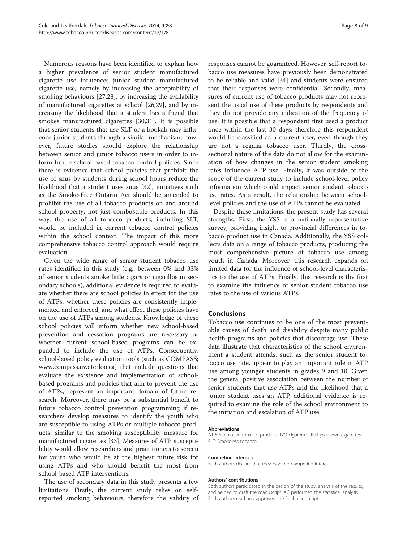Numerous reasons have been identified to explain how a higher prevalence of senior student manufactured cigarette use influences junior student manufactured cigarette use, namely by increasing the acceptability of smoking behaviours [[27](#page-8-0),[28](#page-8-0)], by increasing the availability of manufactured cigarettes at school [\[26,29\]](#page-8-0), and by increasing the likelihood that a student has a friend that smokes manufactured cigarettes [[30,31\]](#page-8-0). It is possible that senior students that use SLT or a hookah may influence junior students through a similar mechanism; however, future studies should explore the relationship between senior and junior tobacco users in order to inform future school-based tobacco control policies. Since there is evidence that school policies that prohibit the use of snus by students during school hours reduce the likelihood that a student uses snus [[32\]](#page-8-0), initiatives such as the Smoke-Free Ontario Act should be amended to prohibit the use of all tobacco products on and around school property, not just combustible products. In this way, the use of all tobacco products, including SLT, would be included in current tobacco control policies within the school context. The impact of this more comprehensive tobacco control approach would require evaluation.

Given the wide range of senior student tobacco use rates identified in this study (e.g., between 0% and 33% of senior students smoke little cigars or cigarillos in secondary schools), additional evidence is required to evaluate whether there are school policies in effect for the use of ATPs, whether these policies are consistently implemented and enforced, and what effect these policies have on the use of ATPs among students. Knowledge of these school policies will inform whether new school-based prevention and cessation programs are necessary or whether current school-based programs can be expanded to include the use of ATPs. Consequently, school-based policy evaluation tools (such as COMPASS; [www.compass.uwaterloo.ca\)](http://www.compass.uwaterloo.ca) that include questions that evaluate the existence and implementation of schoolbased programs and policies that aim to prevent the use of ATPs, represent an important domain of future research. Moreover, there may be a substantial benefit to future tobacco control prevention programming if researchers develop measures to identify the youth who are susceptible to using ATPs or multiple tobacco products, similar to the smoking susceptibility measure for manufactured cigarettes [[33](#page-8-0)]. Measures of ATP susceptibility would allow researchers and practitioners to screen for youth who would be at the highest future risk for using ATPs and who should benefit the most from school-based ATP interventions.

The use of secondary data in this study presents a few limitations. Firstly, the current study relies on selfreported smoking behaviours; therefore the validity of

responses cannot be guaranteed. However, self-report tobacco use measures have previously been demonstrated to be reliable and valid [\[34\]](#page-8-0) and students were ensured that their responses were confidential. Secondly, measures of current use of tobacco products may not represent the usual use of these products by respondents and they do not provide any indication of the frequency of use. It is possible that a respondent first used a product once within the last 30 days; therefore this respondent would be classified as a current user, even though they are not a regular tobacco user. Thirdly, the crosssectional nature of the data do not allow for the examination of how changes in the senior student smoking rates influence ATP use. Finally, it was outside of the scope of the current study to include school-level policy information which could impact senior student tobacco use rates. As a result, the relationship between schoollevel policies and the use of ATPs cannot be evaluated.

Despite these limitations, the present study has several strengths. First, the YSS is a nationally representative survey, providing insight to provincial differences in tobacco product use in Canada. Additionally, the YSS collects data on a range of tobacco products, producing the most comprehensive picture of tobacco use among youth in Canada. Moreover, this research expands on limited data for the influence of school-level characteristics to the use of ATPs. Finally, this research is the first to examine the influence of senior student tobacco use rates to the use of various ATPs.

## Conclusions

Tobacco use continues to be one of the most preventable causes of death and disability despite many public health programs and policies that discourage use. These data illustrate that characteristics of the school environment a student attends, such as the senior student tobacco use rate, appear to play an important role in ATP use among younger students in grades 9 and 10. Given the general positive association between the number of senior students that use ATPs and the likelihood that a junior student uses an ATP, additional evidence is required to examine the role of the school environment to the initiation and escalation of ATP use.

#### Abbreviations

ATP: Alternative tobacco product; RYO cigarettes: Roll-your-own cigarettes; SLT: Smokeless tobacco.

#### Competing interests

Both authors declare that they have no competing interest.

#### Authors' contributions

Both authors participated in the design of the study, analysis of the results, and helped to draft the manuscript. AC performed the statistical analysis. Both authors read and approved the final manuscript.